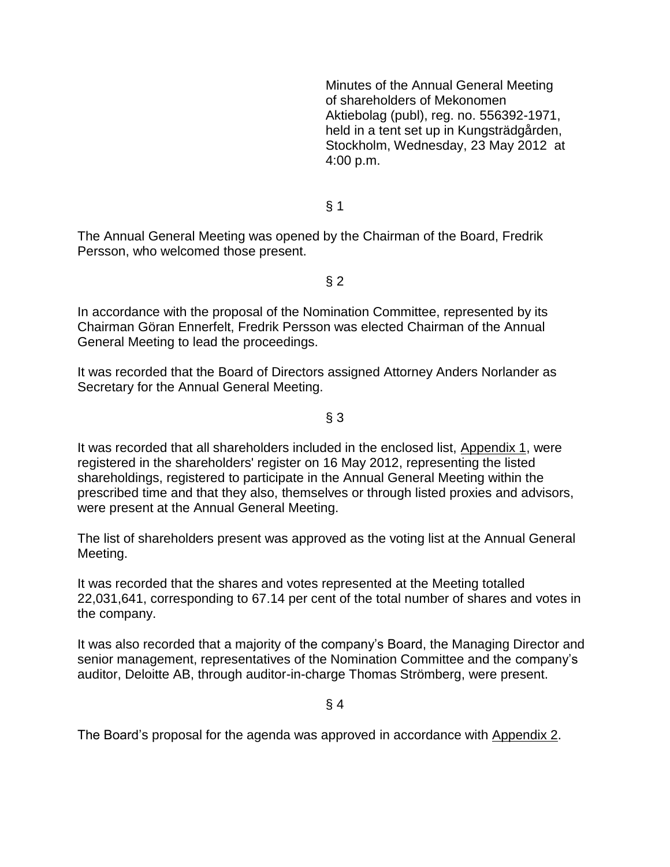Minutes of the Annual General Meeting of shareholders of Mekonomen Aktiebolag (publ), reg. no. 556392-1971, held in a tent set up in Kungsträdgården, Stockholm, Wednesday, 23 May 2012 at 4:00 p.m.

 $§$  1

The Annual General Meeting was opened by the Chairman of the Board, Fredrik Persson, who welcomed those present.

 $§$  2

In accordance with the proposal of the Nomination Committee, represented by its Chairman Göran Ennerfelt, Fredrik Persson was elected Chairman of the Annual General Meeting to lead the proceedings.

It was recorded that the Board of Directors assigned Attorney Anders Norlander as Secretary for the Annual General Meeting.

 $§$  3

It was recorded that all shareholders included in the enclosed list, Appendix 1, were registered in the shareholders' register on 16 May 2012, representing the listed shareholdings, registered to participate in the Annual General Meeting within the prescribed time and that they also, themselves or through listed proxies and advisors, were present at the Annual General Meeting.

The list of shareholders present was approved as the voting list at the Annual General Meeting.

It was recorded that the shares and votes represented at the Meeting totalled 22,031,641, corresponding to 67.14 per cent of the total number of shares and votes in the company.

It was also recorded that a majority of the company's Board, the Managing Director and senior management, representatives of the Nomination Committee and the company's auditor, Deloitte AB, through auditor-in-charge Thomas Strömberg, were present.

§ 4

The Board's proposal for the agenda was approved in accordance with Appendix 2.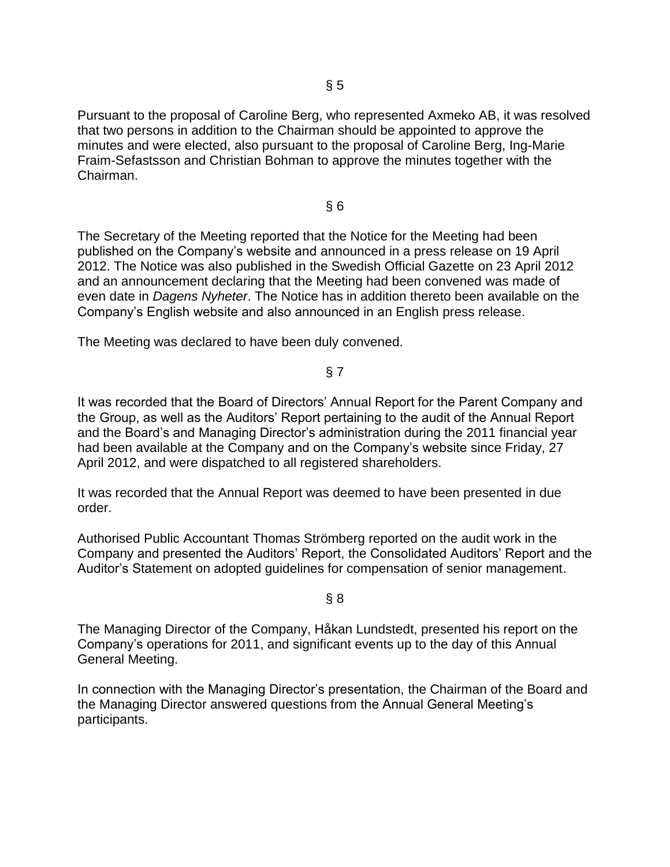Pursuant to the proposal of Caroline Berg, who represented Axmeko AB, it was resolved that two persons in addition to the Chairman should be appointed to approve the minutes and were elected, also pursuant to the proposal of Caroline Berg, Ing-Marie Fraim-Sefastsson and Christian Bohman to approve the minutes together with the Chairman.

§ 6

The Secretary of the Meeting reported that the Notice for the Meeting had been published on the Company's website and announced in a press release on 19 April 2012. The Notice was also published in the Swedish Official Gazette on 23 April 2012 and an announcement declaring that the Meeting had been convened was made of even date in *Dagens Nyheter*. The Notice has in addition thereto been available on the Company's English website and also announced in an English press release.

The Meeting was declared to have been duly convened.

## § 7

It was recorded that the Board of Directors' Annual Report for the Parent Company and the Group, as well as the Auditors' Report pertaining to the audit of the Annual Report and the Board's and Managing Director's administration during the 2011 financial year had been available at the Company and on the Company's website since Friday, 27 April 2012, and were dispatched to all registered shareholders.

It was recorded that the Annual Report was deemed to have been presented in due order.

Authorised Public Accountant Thomas Strömberg reported on the audit work in the Company and presented the Auditors' Report, the Consolidated Auditors' Report and the Auditor's Statement on adopted guidelines for compensation of senior management.

### $§ 8$

The Managing Director of the Company, Håkan Lundstedt, presented his report on the Company's operations for 2011, and significant events up to the day of this Annual General Meeting.

In connection with the Managing Director's presentation, the Chairman of the Board and the Managing Director answered questions from the Annual General Meeting's participants.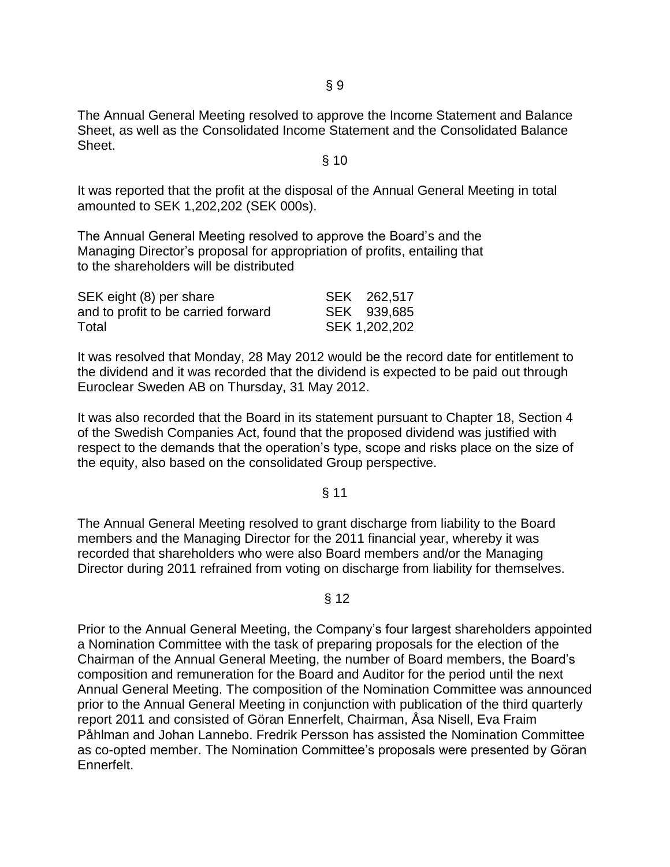The Annual General Meeting resolved to approve the Income Statement and Balance Sheet, as well as the Consolidated Income Statement and the Consolidated Balance Sheet.

#### § 10

It was reported that the profit at the disposal of the Annual General Meeting in total amounted to SEK 1,202,202 (SEK 000s).

The Annual General Meeting resolved to approve the Board's and the Managing Director's proposal for appropriation of profits, entailing that to the shareholders will be distributed

| SEK eight (8) per share             | SEK 262,517   |
|-------------------------------------|---------------|
| and to profit to be carried forward | SEK 939,685   |
| Total                               | SEK 1,202,202 |

It was resolved that Monday, 28 May 2012 would be the record date for entitlement to the dividend and it was recorded that the dividend is expected to be paid out through Euroclear Sweden AB on Thursday, 31 May 2012.

It was also recorded that the Board in its statement pursuant to Chapter 18, Section 4 of the Swedish Companies Act, found that the proposed dividend was justified with respect to the demands that the operation's type, scope and risks place on the size of the equity, also based on the consolidated Group perspective.

#### § 11

The Annual General Meeting resolved to grant discharge from liability to the Board members and the Managing Director for the 2011 financial year, whereby it was recorded that shareholders who were also Board members and/or the Managing Director during 2011 refrained from voting on discharge from liability for themselves.

### § 12

Prior to the Annual General Meeting, the Company's four largest shareholders appointed a Nomination Committee with the task of preparing proposals for the election of the Chairman of the Annual General Meeting, the number of Board members, the Board's composition and remuneration for the Board and Auditor for the period until the next Annual General Meeting. The composition of the Nomination Committee was announced prior to the Annual General Meeting in conjunction with publication of the third quarterly report 2011 and consisted of Göran Ennerfelt, Chairman, Åsa Nisell, Eva Fraim Påhlman and Johan Lannebo. Fredrik Persson has assisted the Nomination Committee as co-opted member. The Nomination Committee's proposals were presented by Göran Ennerfelt.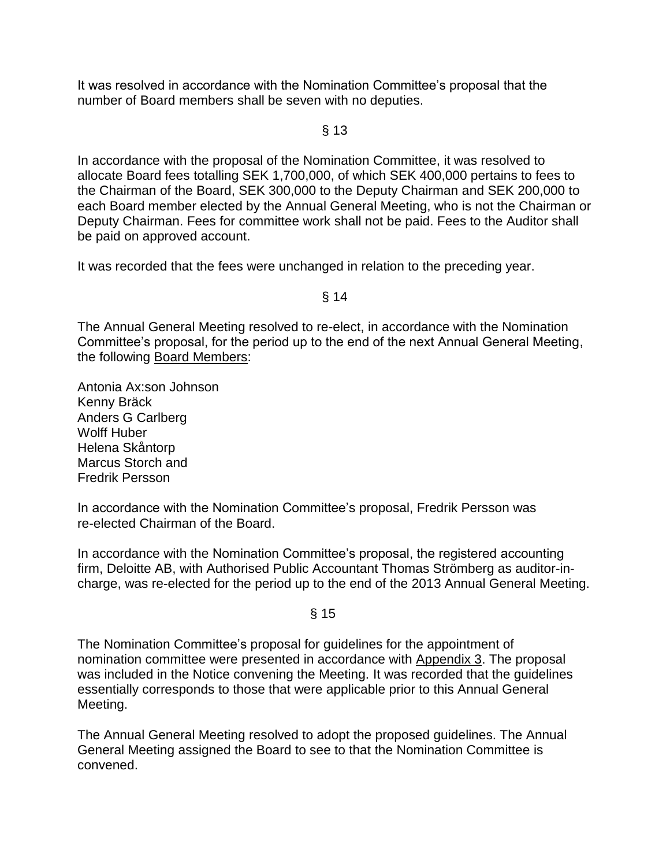It was resolved in accordance with the Nomination Committee's proposal that the number of Board members shall be seven with no deputies.

§ 13

In accordance with the proposal of the Nomination Committee, it was resolved to allocate Board fees totalling SEK 1,700,000, of which SEK 400,000 pertains to fees to the Chairman of the Board, SEK 300,000 to the Deputy Chairman and SEK 200,000 to each Board member elected by the Annual General Meeting, who is not the Chairman or Deputy Chairman. Fees for committee work shall not be paid. Fees to the Auditor shall be paid on approved account.

It was recorded that the fees were unchanged in relation to the preceding year.

§ 14

The Annual General Meeting resolved to re-elect, in accordance with the Nomination Committee's proposal, for the period up to the end of the next Annual General Meeting, the following Board Members:

Antonia Ax:son Johnson Kenny Bräck Anders G Carlberg Wolff Huber Helena Skåntorp Marcus Storch and Fredrik Persson

In accordance with the Nomination Committee's proposal, Fredrik Persson was re-elected Chairman of the Board.

In accordance with the Nomination Committee's proposal, the registered accounting firm, Deloitte AB, with Authorised Public Accountant Thomas Strömberg as auditor-incharge, was re-elected for the period up to the end of the 2013 Annual General Meeting.

§ 15

The Nomination Committee's proposal for guidelines for the appointment of nomination committee were presented in accordance with Appendix 3. The proposal was included in the Notice convening the Meeting. It was recorded that the guidelines essentially corresponds to those that were applicable prior to this Annual General Meeting.

The Annual General Meeting resolved to adopt the proposed guidelines. The Annual General Meeting assigned the Board to see to that the Nomination Committee is convened.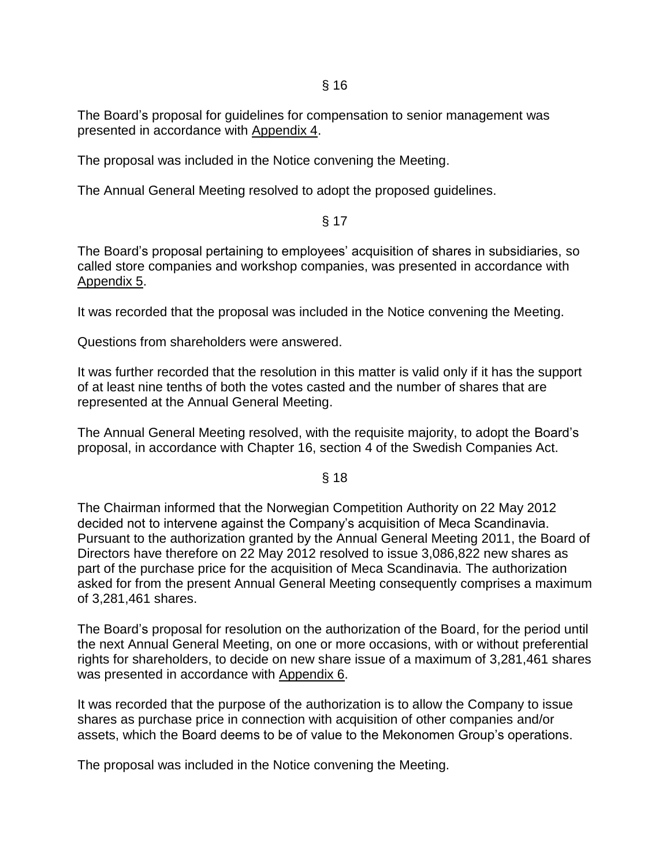§ 16

The Board's proposal for guidelines for compensation to senior management was presented in accordance with Appendix 4.

The proposal was included in the Notice convening the Meeting.

The Annual General Meeting resolved to adopt the proposed guidelines.

# § 17

The Board's proposal pertaining to employees' acquisition of shares in subsidiaries, so called store companies and workshop companies, was presented in accordance with Appendix 5.

It was recorded that the proposal was included in the Notice convening the Meeting.

Questions from shareholders were answered.

It was further recorded that the resolution in this matter is valid only if it has the support of at least nine tenths of both the votes casted and the number of shares that are represented at the Annual General Meeting.

The Annual General Meeting resolved, with the requisite majority, to adopt the Board's proposal, in accordance with Chapter 16, section 4 of the Swedish Companies Act.

§ 18

The Chairman informed that the Norwegian Competition Authority on 22 May 2012 decided not to intervene against the Company's acquisition of Meca Scandinavia. Pursuant to the authorization granted by the Annual General Meeting 2011, the Board of Directors have therefore on 22 May 2012 resolved to issue 3,086,822 new shares as part of the purchase price for the acquisition of Meca Scandinavia. The authorization asked for from the present Annual General Meeting consequently comprises a maximum of 3,281,461 shares.

The Board's proposal for resolution on the authorization of the Board, for the period until the next Annual General Meeting, on one or more occasions, with or without preferential rights for shareholders, to decide on new share issue of a maximum of 3,281,461 shares was presented in accordance with Appendix 6.

It was recorded that the purpose of the authorization is to allow the Company to issue shares as purchase price in connection with acquisition of other companies and/or assets, which the Board deems to be of value to the Mekonomen Group's operations.

The proposal was included in the Notice convening the Meeting.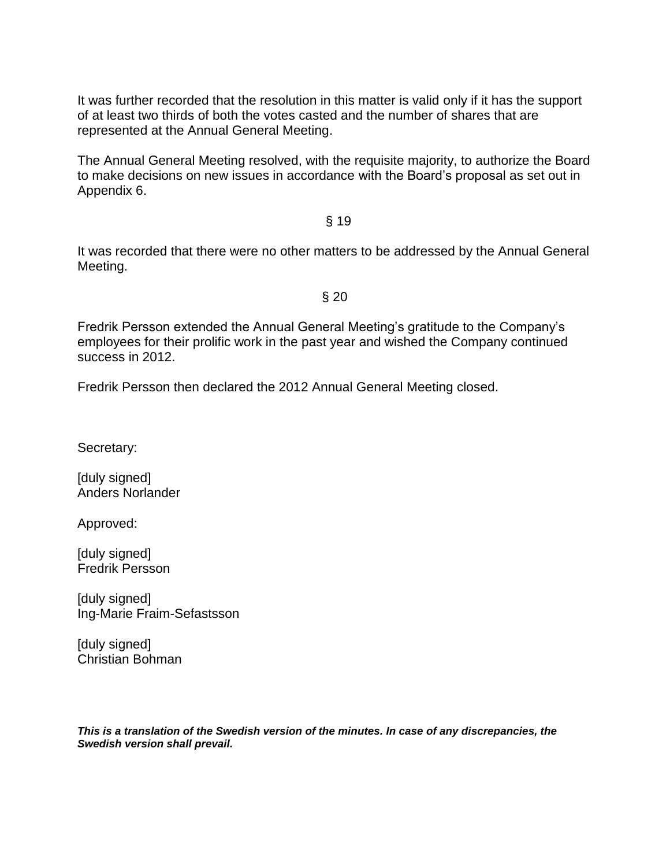It was further recorded that the resolution in this matter is valid only if it has the support of at least two thirds of both the votes casted and the number of shares that are represented at the Annual General Meeting.

The Annual General Meeting resolved, with the requisite majority, to authorize the Board to make decisions on new issues in accordance with the Board's proposal as set out in Appendix 6.

### § 19

It was recorded that there were no other matters to be addressed by the Annual General Meeting.

#### § 20

Fredrik Persson extended the Annual General Meeting's gratitude to the Company's employees for their prolific work in the past year and wished the Company continued success in 2012.

Fredrik Persson then declared the 2012 Annual General Meeting closed.

Secretary:

[duly signed] Anders Norlander

Approved:

[duly signed] Fredrik Persson

[duly signed] Ing-Marie Fraim-Sefastsson

[duly signed] Christian Bohman

*This is a translation of the Swedish version of the minutes. In case of any discrepancies, the Swedish version shall prevail.*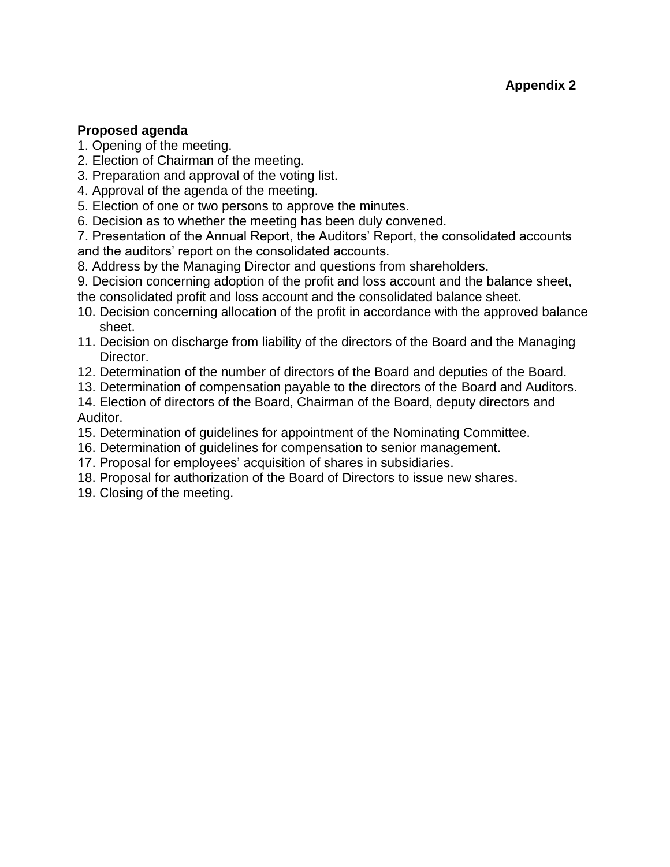# **Proposed agenda**

- 1. Opening of the meeting.
- 2. Election of Chairman of the meeting.
- 3. Preparation and approval of the voting list.
- 4. Approval of the agenda of the meeting.
- 5. Election of one or two persons to approve the minutes.
- 6. Decision as to whether the meeting has been duly convened.

7. Presentation of the Annual Report, the Auditors' Report, the consolidated accounts and the auditors' report on the consolidated accounts.

- 8. Address by the Managing Director and questions from shareholders.
- 9. Decision concerning adoption of the profit and loss account and the balance sheet,
- the consolidated profit and loss account and the consolidated balance sheet.
- 10. Decision concerning allocation of the profit in accordance with the approved balance sheet.
- 11. Decision on discharge from liability of the directors of the Board and the Managing Director.
- 12. Determination of the number of directors of the Board and deputies of the Board.
- 13. Determination of compensation payable to the directors of the Board and Auditors.

14. Election of directors of the Board, Chairman of the Board, deputy directors and Auditor.

- 15. Determination of guidelines for appointment of the Nominating Committee.
- 16. Determination of guidelines for compensation to senior management.
- 17. Proposal for employees' acquisition of shares in subsidiaries.
- 18. Proposal for authorization of the Board of Directors to issue new shares.
- 19. Closing of the meeting.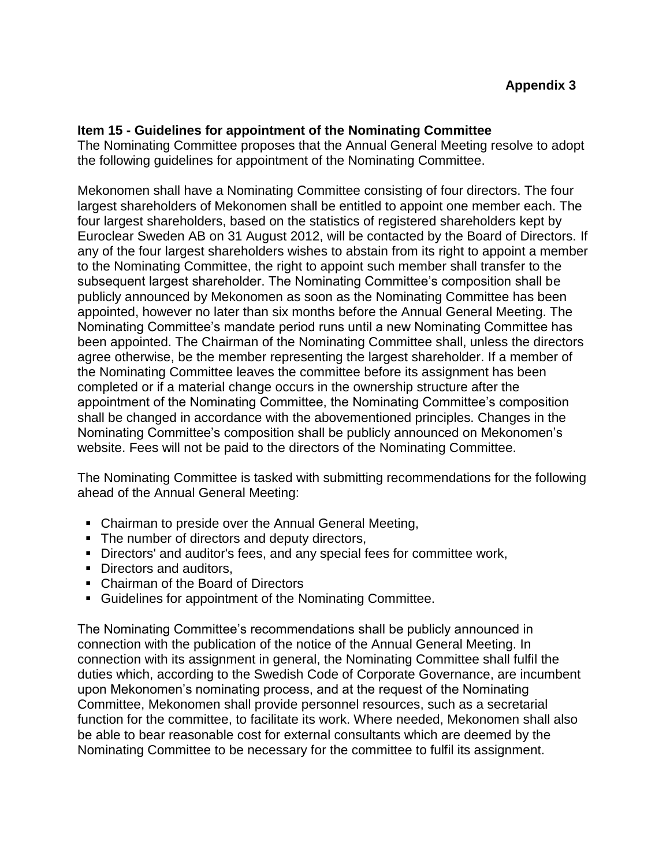## **Item 15 - Guidelines for appointment of the Nominating Committee**

The Nominating Committee proposes that the Annual General Meeting resolve to adopt the following guidelines for appointment of the Nominating Committee.

Mekonomen shall have a Nominating Committee consisting of four directors. The four largest shareholders of Mekonomen shall be entitled to appoint one member each. The four largest shareholders, based on the statistics of registered shareholders kept by Euroclear Sweden AB on 31 August 2012, will be contacted by the Board of Directors. If any of the four largest shareholders wishes to abstain from its right to appoint a member to the Nominating Committee, the right to appoint such member shall transfer to the subsequent largest shareholder. The Nominating Committee's composition shall be publicly announced by Mekonomen as soon as the Nominating Committee has been appointed, however no later than six months before the Annual General Meeting. The Nominating Committee's mandate period runs until a new Nominating Committee has been appointed. The Chairman of the Nominating Committee shall, unless the directors agree otherwise, be the member representing the largest shareholder. If a member of the Nominating Committee leaves the committee before its assignment has been completed or if a material change occurs in the ownership structure after the appointment of the Nominating Committee, the Nominating Committee's composition shall be changed in accordance with the abovementioned principles. Changes in the Nominating Committee's composition shall be publicly announced on Mekonomen's website. Fees will not be paid to the directors of the Nominating Committee.

The Nominating Committee is tasked with submitting recommendations for the following ahead of the Annual General Meeting:

- Chairman to preside over the Annual General Meeting,
- The number of directors and deputy directors,
- Directors' and auditor's fees, and any special fees for committee work,
- Directors and auditors,
- Chairman of the Board of Directors
- Guidelines for appointment of the Nominating Committee.

The Nominating Committee's recommendations shall be publicly announced in connection with the publication of the notice of the Annual General Meeting. In connection with its assignment in general, the Nominating Committee shall fulfil the duties which, according to the Swedish Code of Corporate Governance, are incumbent upon Mekonomen's nominating process, and at the request of the Nominating Committee, Mekonomen shall provide personnel resources, such as a secretarial function for the committee, to facilitate its work. Where needed, Mekonomen shall also be able to bear reasonable cost for external consultants which are deemed by the Nominating Committee to be necessary for the committee to fulfil its assignment.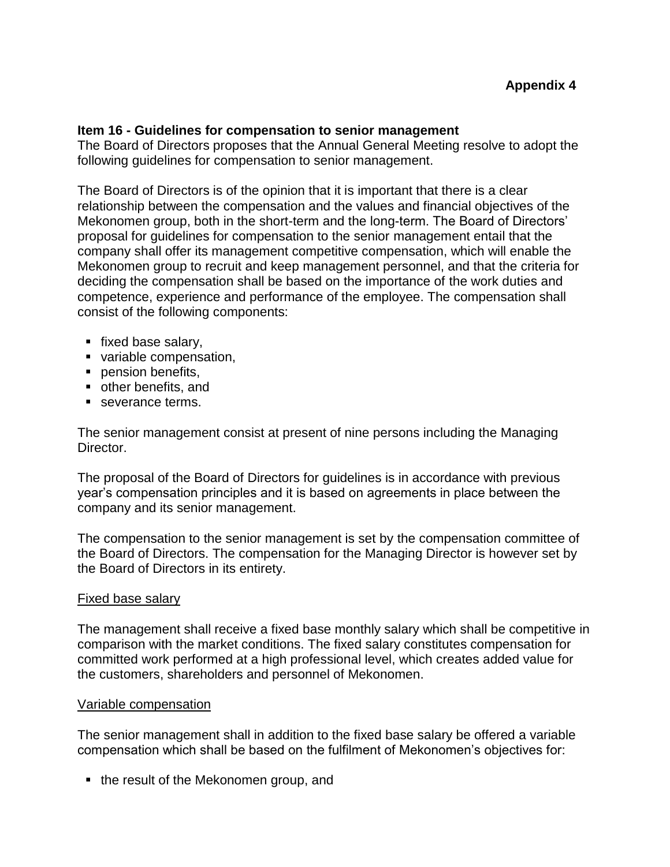### **Item 16 - Guidelines for compensation to senior management**

The Board of Directors proposes that the Annual General Meeting resolve to adopt the following guidelines for compensation to senior management.

The Board of Directors is of the opinion that it is important that there is a clear relationship between the compensation and the values and financial objectives of the Mekonomen group, both in the short-term and the long-term. The Board of Directors' proposal for guidelines for compensation to the senior management entail that the company shall offer its management competitive compensation, which will enable the Mekonomen group to recruit and keep management personnel, and that the criteria for deciding the compensation shall be based on the importance of the work duties and competence, experience and performance of the employee. The compensation shall consist of the following components:

- **fixed base salary,**
- variable compensation,
- pension benefits,
- other benefits, and
- severance terms.

The senior management consist at present of nine persons including the Managing Director.

The proposal of the Board of Directors for guidelines is in accordance with previous year's compensation principles and it is based on agreements in place between the company and its senior management.

The compensation to the senior management is set by the compensation committee of the Board of Directors. The compensation for the Managing Director is however set by the Board of Directors in its entirety.

### Fixed base salary

The management shall receive a fixed base monthly salary which shall be competitive in comparison with the market conditions. The fixed salary constitutes compensation for committed work performed at a high professional level, which creates added value for the customers, shareholders and personnel of Mekonomen.

### Variable compensation

The senior management shall in addition to the fixed base salary be offered a variable compensation which shall be based on the fulfilment of Mekonomen's objectives for:

• the result of the Mekonomen group, and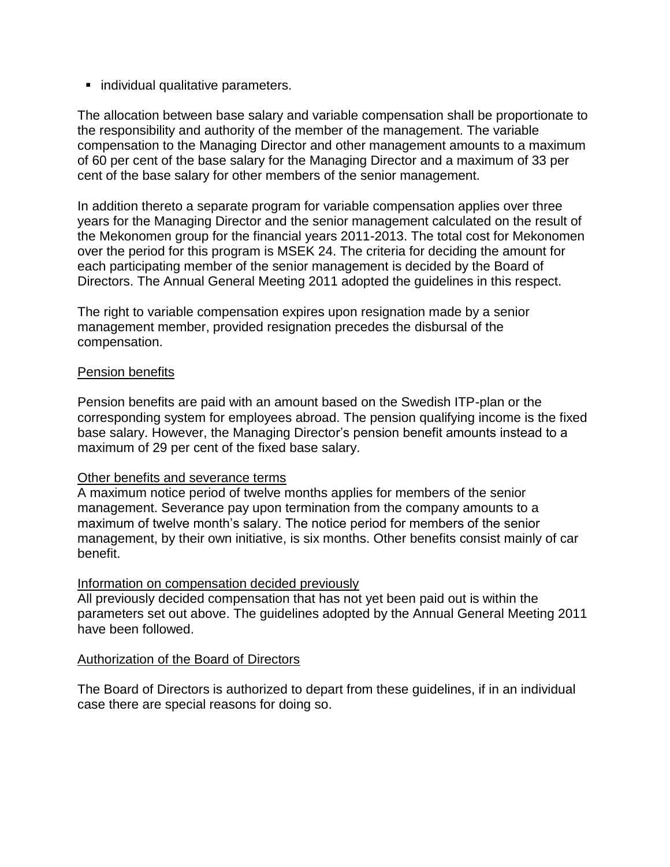**Individual qualitative parameters.** 

The allocation between base salary and variable compensation shall be proportionate to the responsibility and authority of the member of the management. The variable compensation to the Managing Director and other management amounts to a maximum of 60 per cent of the base salary for the Managing Director and a maximum of 33 per cent of the base salary for other members of the senior management.

In addition thereto a separate program for variable compensation applies over three years for the Managing Director and the senior management calculated on the result of the Mekonomen group for the financial years 2011-2013. The total cost for Mekonomen over the period for this program is MSEK 24. The criteria for deciding the amount for each participating member of the senior management is decided by the Board of Directors. The Annual General Meeting 2011 adopted the guidelines in this respect.

The right to variable compensation expires upon resignation made by a senior management member, provided resignation precedes the disbursal of the compensation.

### Pension benefits

Pension benefits are paid with an amount based on the Swedish ITP-plan or the corresponding system for employees abroad. The pension qualifying income is the fixed base salary. However, the Managing Director's pension benefit amounts instead to a maximum of 29 per cent of the fixed base salary.

### Other benefits and severance terms

A maximum notice period of twelve months applies for members of the senior management. Severance pay upon termination from the company amounts to a maximum of twelve month's salary. The notice period for members of the senior management, by their own initiative, is six months. Other benefits consist mainly of car benefit.

# Information on compensation decided previously

All previously decided compensation that has not yet been paid out is within the parameters set out above. The guidelines adopted by the Annual General Meeting 2011 have been followed.

# Authorization of the Board of Directors

The Board of Directors is authorized to depart from these guidelines, if in an individual case there are special reasons for doing so.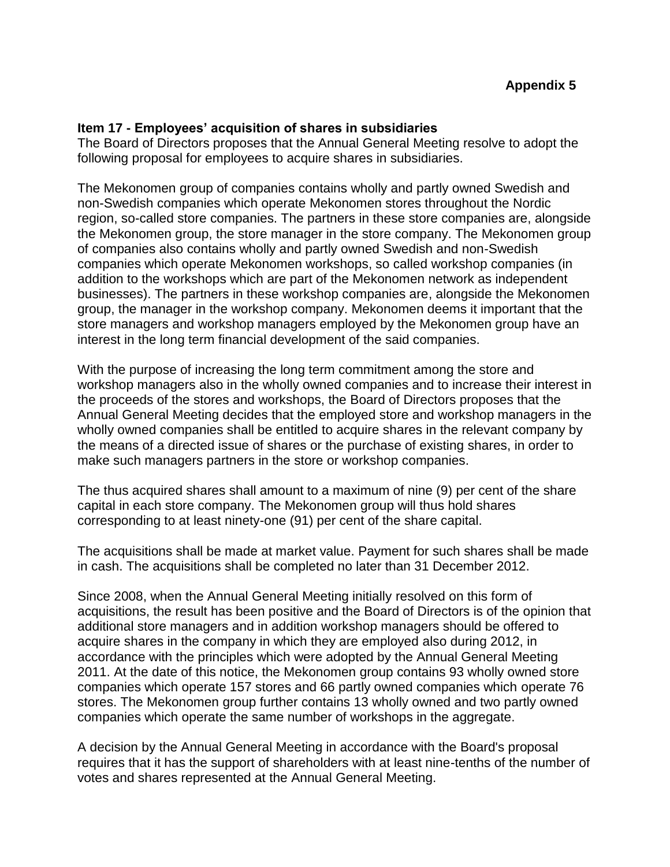## **Item 17 - Employees' acquisition of shares in subsidiaries**

The Board of Directors proposes that the Annual General Meeting resolve to adopt the following proposal for employees to acquire shares in subsidiaries.

The Mekonomen group of companies contains wholly and partly owned Swedish and non-Swedish companies which operate Mekonomen stores throughout the Nordic region, so-called store companies. The partners in these store companies are, alongside the Mekonomen group, the store manager in the store company. The Mekonomen group of companies also contains wholly and partly owned Swedish and non-Swedish companies which operate Mekonomen workshops, so called workshop companies (in addition to the workshops which are part of the Mekonomen network as independent businesses). The partners in these workshop companies are, alongside the Mekonomen group, the manager in the workshop company. Mekonomen deems it important that the store managers and workshop managers employed by the Mekonomen group have an interest in the long term financial development of the said companies.

With the purpose of increasing the long term commitment among the store and workshop managers also in the wholly owned companies and to increase their interest in the proceeds of the stores and workshops, the Board of Directors proposes that the Annual General Meeting decides that the employed store and workshop managers in the wholly owned companies shall be entitled to acquire shares in the relevant company by the means of a directed issue of shares or the purchase of existing shares, in order to make such managers partners in the store or workshop companies.

The thus acquired shares shall amount to a maximum of nine (9) per cent of the share capital in each store company. The Mekonomen group will thus hold shares corresponding to at least ninety-one (91) per cent of the share capital.

The acquisitions shall be made at market value. Payment for such shares shall be made in cash. The acquisitions shall be completed no later than 31 December 2012.

Since 2008, when the Annual General Meeting initially resolved on this form of acquisitions, the result has been positive and the Board of Directors is of the opinion that additional store managers and in addition workshop managers should be offered to acquire shares in the company in which they are employed also during 2012, in accordance with the principles which were adopted by the Annual General Meeting 2011. At the date of this notice, the Mekonomen group contains 93 wholly owned store companies which operate 157 stores and 66 partly owned companies which operate 76 stores. The Mekonomen group further contains 13 wholly owned and two partly owned companies which operate the same number of workshops in the aggregate.

A decision by the Annual General Meeting in accordance with the Board's proposal requires that it has the support of shareholders with at least nine-tenths of the number of votes and shares represented at the Annual General Meeting.